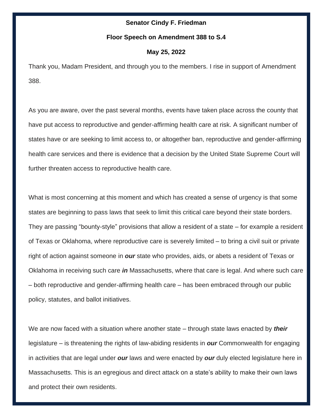#### **Senator Cindy F. Friedman**

#### **Floor Speech on Amendment 388 to S.4**

# **May 25, 2022**

Thank you, Madam President, and through you to the members. I rise in support of Amendment 388.

As you are aware, over the past several months, events have taken place across the county that have put access to reproductive and gender-affirming health care at risk. A significant number of states have or are seeking to limit access to, or altogether ban, reproductive and gender-affirming health care services and there is evidence that a decision by the United State Supreme Court will further threaten access to reproductive health care.

What is most concerning at this moment and which has created a sense of urgency is that some states are beginning to pass laws that seek to limit this critical care beyond their state borders. They are passing "bounty-style" provisions that allow a resident of a state – for example a resident of Texas or Oklahoma, where reproductive care is severely limited – to bring a civil suit or private right of action against someone in *our* state who provides, aids, or abets a resident of Texas or Oklahoma in receiving such care *in* Massachusetts, where that care is legal. And where such care – both reproductive and gender-affirming health care – has been embraced through our public policy, statutes, and ballot initiatives.

We are now faced with a situation where another state – through state laws enacted by *their* legislature – is threatening the rights of law-abiding residents in *our* Commonwealth for engaging in activities that are legal under *our* laws and were enacted by *our* duly elected legislature here in Massachusetts. This is an egregious and direct attack on a state's ability to make their own laws and protect their own residents.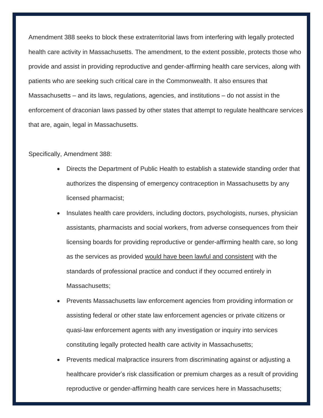Amendment 388 seeks to block these extraterritorial laws from interfering with legally protected health care activity in Massachusetts. The amendment, to the extent possible, protects those who provide and assist in providing reproductive and gender-affirming health care services, along with patients who are seeking such critical care in the Commonwealth. It also ensures that Massachusetts – and its laws, regulations, agencies, and institutions – do not assist in the enforcement of draconian laws passed by other states that attempt to regulate healthcare services that are, again, legal in Massachusetts.

### Specifically, Amendment 388:

- Directs the Department of Public Health to establish a statewide standing order that authorizes the dispensing of emergency contraception in Massachusetts by any licensed pharmacist;
- Insulates health care providers, including doctors, psychologists, nurses, physician assistants, pharmacists and social workers, from adverse consequences from their licensing boards for providing reproductive or gender-affirming health care, so long as the services as provided would have been lawful and consistent with the standards of professional practice and conduct if they occurred entirely in Massachusetts;
- Prevents Massachusetts law enforcement agencies from providing information or assisting federal or other state law enforcement agencies or private citizens or quasi-law enforcement agents with any investigation or inquiry into services constituting legally protected health care activity in Massachusetts;
- Prevents medical malpractice insurers from discriminating against or adjusting a healthcare provider's risk classification or premium charges as a result of providing reproductive or gender-affirming health care services here in Massachusetts;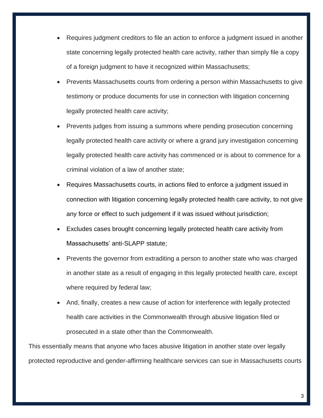- Requires judgment creditors to file an action to enforce a judgment issued in another state concerning legally protected health care activity, rather than simply file a copy of a foreign judgment to have it recognized within Massachusetts;
- Prevents Massachusetts courts from ordering a person within Massachusetts to give testimony or produce documents for use in connection with litigation concerning legally protected health care activity;
- Prevents judges from issuing a summons where pending prosecution concerning legally protected health care activity or where a grand jury investigation concerning legally protected health care activity has commenced or is about to commence for a criminal violation of a law of another state;
- Requires Massachusetts courts, in actions filed to enforce a judgment issued in connection with litigation concerning legally protected health care activity, to not give any force or effect to such judgement if it was issued without jurisdiction;
- Excludes cases brought concerning legally protected health care activity from Massachusetts' anti-SLAPP statute;
- Prevents the governor from extraditing a person to another state who was charged in another state as a result of engaging in this legally protected health care, except where required by federal law;
- And, finally, creates a new cause of action for interference with legally protected health care activities in the Commonwealth through abusive litigation filed or prosecuted in a state other than the Commonwealth.

This essentially means that anyone who faces abusive litigation in another state over legally protected reproductive and gender-affirming healthcare services can sue in Massachusetts courts